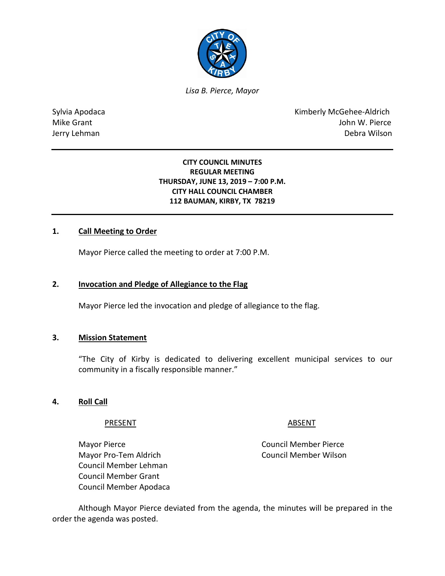

*Lisa B. Pierce, Mayor* 

Sylvia Apodaca **Kimberly McGehee-Aldrich** Mike Grant John W. Pierce Jerry Lehman Debra Wilson

# **CITY COUNCIL MINUTES REGULAR MEETING THURSDAY, JUNE 13, 2019 – 7:00 P.M. CITY HALL COUNCIL CHAMBER 112 BAUMAN, KIRBY, TX 78219**

# **1. Call Meeting to Order**

Mayor Pierce called the meeting to order at 7:00 P.M.

#### **2. Invocation and Pledge of Allegiance to the Flag**

Mayor Pierce led the invocation and pledge of allegiance to the flag.

### **3. Mission Statement**

"The City of Kirby is dedicated to delivering excellent municipal services to our community in a fiscally responsible manner."

### **4. Roll Call**

#### PRESENT ABSENT

Mayor Pierce **Council Member Pierce** 

Mayor Pro-Tem Aldrich Council Member Wilson Council Member Lehman Council Member Grant Council Member Apodaca

Although Mayor Pierce deviated from the agenda, the minutes will be prepared in the order the agenda was posted.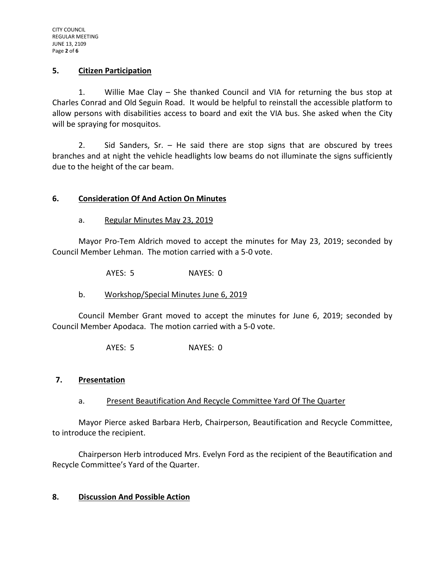### **5. Citizen Participation**

1. Willie Mae Clay – She thanked Council and VIA for returning the bus stop at Charles Conrad and Old Seguin Road. It would be helpful to reinstall the accessible platform to allow persons with disabilities access to board and exit the VIA bus. She asked when the City will be spraying for mosquitos.

2. Sid Sanders, Sr. – He said there are stop signs that are obscured by trees branches and at night the vehicle headlights low beams do not illuminate the signs sufficiently due to the height of the car beam.

# **6. Consideration Of And Action On Minutes**

# a. Regular Minutes May 23, 2019

Mayor Pro-Tem Aldrich moved to accept the minutes for May 23, 2019; seconded by Council Member Lehman. The motion carried with a 5-0 vote.

AYES: 5 NAYES: 0

b. Workshop/Special Minutes June 6, 2019

Council Member Grant moved to accept the minutes for June 6, 2019; seconded by Council Member Apodaca. The motion carried with a 5-0 vote.

AYES: 5 NAYES: 0

### **7. Presentation**

a. Present Beautification And Recycle Committee Yard Of The Quarter

Mayor Pierce asked Barbara Herb, Chairperson, Beautification and Recycle Committee, to introduce the recipient.

Chairperson Herb introduced Mrs. Evelyn Ford as the recipient of the Beautification and Recycle Committee's Yard of the Quarter.

# **8. Discussion And Possible Action**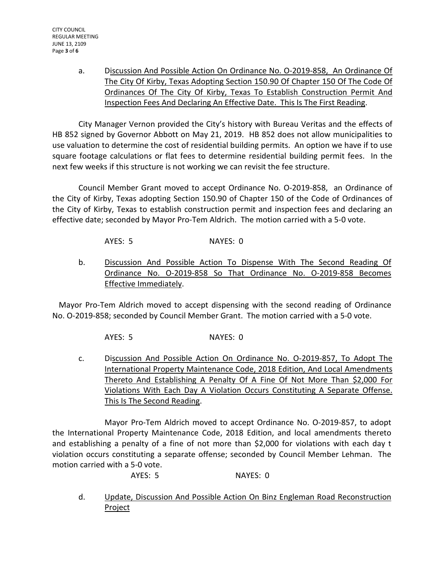a. Discussion And Possible Action On Ordinance No. O-2019-858, An Ordinance Of The City Of Kirby, Texas Adopting Section 150.90 Of Chapter 150 Of The Code Of Ordinances Of The City Of Kirby, Texas To Establish Construction Permit And Inspection Fees And Declaring An Effective Date. This Is The First Reading.

City Manager Vernon provided the City's history with Bureau Veritas and the effects of HB 852 signed by Governor Abbott on May 21, 2019. HB 852 does not allow municipalities to use valuation to determine the cost of residential building permits. An option we have if to use square footage calculations or flat fees to determine residential building permit fees. In the next few weeks if this structure is not working we can revisit the fee structure.

Council Member Grant moved to accept Ordinance No. O-2019-858, an Ordinance of the City of Kirby, Texas adopting Section 150.90 of Chapter 150 of the Code of Ordinances of the City of Kirby, Texas to establish construction permit and inspection fees and declaring an effective date; seconded by Mayor Pro-Tem Aldrich. The motion carried with a 5-0 vote.

AYES: 5 NAYES: 0

b. Discussion And Possible Action To Dispense With The Second Reading Of Ordinance No. O-2019-858 So That Ordinance No. O-2019-858 Becomes Effective Immediately.

Mayor Pro-Tem Aldrich moved to accept dispensing with the second reading of Ordinance No. O-2019-858; seconded by Council Member Grant. The motion carried with a 5-0 vote.

AYES: 5 NAYES: 0

c. Discussion And Possible Action On Ordinance No. O-2019-857, To Adopt The International Property Maintenance Code, 2018 Edition, And Local Amendments Thereto And Establishing A Penalty Of A Fine Of Not More Than \$2,000 For Violations With Each Day A Violation Occurs Constituting A Separate Offense. This Is The Second Reading.

Mayor Pro-Tem Aldrich moved to accept Ordinance No. O-2019-857, to adopt the International Property Maintenance Code, 2018 Edition, and local amendments thereto and establishing a penalty of a fine of not more than \$2,000 for violations with each day t violation occurs constituting a separate offense; seconded by Council Member Lehman. The motion carried with a 5-0 vote.

AYES: 5 NAYES: 0

d. Update, Discussion And Possible Action On Binz Engleman Road Reconstruction Project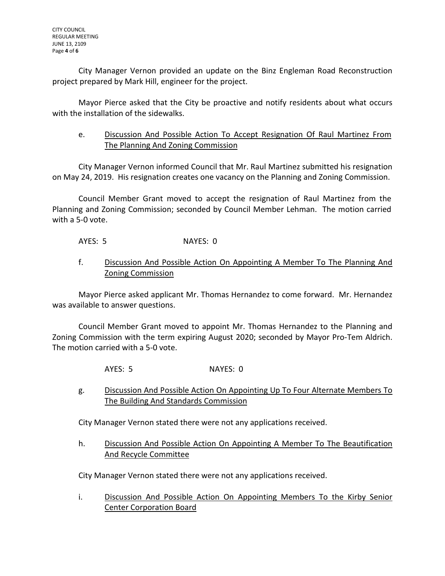City Manager Vernon provided an update on the Binz Engleman Road Reconstruction project prepared by Mark Hill, engineer for the project.

Mayor Pierce asked that the City be proactive and notify residents about what occurs with the installation of the sidewalks.

# e. Discussion And Possible Action To Accept Resignation Of Raul Martinez From The Planning And Zoning Commission

City Manager Vernon informed Council that Mr. Raul Martinez submitted his resignation on May 24, 2019. His resignation creates one vacancy on the Planning and Zoning Commission.

Council Member Grant moved to accept the resignation of Raul Martinez from the Planning and Zoning Commission; seconded by Council Member Lehman. The motion carried with a 5-0 vote.

AYES: 5 NAYES: 0

f. Discussion And Possible Action On Appointing A Member To The Planning And Zoning Commission

Mayor Pierce asked applicant Mr. Thomas Hernandez to come forward. Mr. Hernandez was available to answer questions.

Council Member Grant moved to appoint Mr. Thomas Hernandez to the Planning and Zoning Commission with the term expiring August 2020; seconded by Mayor Pro-Tem Aldrich. The motion carried with a 5-0 vote.

- AYES: 5 NAYES: 0
- g. Discussion And Possible Action On Appointing Up To Four Alternate Members To The Building And Standards Commission

City Manager Vernon stated there were not any applications received.

h. Discussion And Possible Action On Appointing A Member To The Beautification And Recycle Committee

City Manager Vernon stated there were not any applications received.

i. Discussion And Possible Action On Appointing Members To the Kirby Senior Center Corporation Board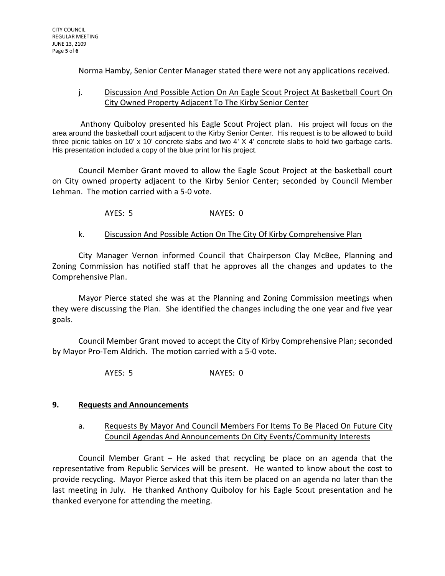Norma Hamby, Senior Center Manager stated there were not any applications received.

# j. Discussion And Possible Action On An Eagle Scout Project At Basketball Court On City Owned Property Adjacent To The Kirby Senior Center

Anthony Quiboloy presented his Eagle Scout Project plan. His project will focus on the area around the basketball court adjacent to the Kirby Senior Center. His request is to be allowed to build three picnic tables on 10' x 10' concrete slabs and two 4' X 4' concrete slabs to hold two garbage carts. His presentation included a copy of the blue print for his project.

Council Member Grant moved to allow the Eagle Scout Project at the basketball court on City owned property adjacent to the Kirby Senior Center; seconded by Council Member Lehman. The motion carried with a 5-0 vote.

AYES: 5 NAYES: 0

# k. Discussion And Possible Action On The City Of Kirby Comprehensive Plan

City Manager Vernon informed Council that Chairperson Clay McBee, Planning and Zoning Commission has notified staff that he approves all the changes and updates to the Comprehensive Plan.

Mayor Pierce stated she was at the Planning and Zoning Commission meetings when they were discussing the Plan. She identified the changes including the one year and five year goals.

Council Member Grant moved to accept the City of Kirby Comprehensive Plan; seconded by Mayor Pro-Tem Aldrich. The motion carried with a 5-0 vote.

AYES: 5 NAYES: 0

### **9. Requests and Announcements**

# a. Requests By Mayor And Council Members For Items To Be Placed On Future City Council Agendas And Announcements On City Events/Community Interests

Council Member Grant – He asked that recycling be place on an agenda that the representative from Republic Services will be present. He wanted to know about the cost to provide recycling. Mayor Pierce asked that this item be placed on an agenda no later than the last meeting in July. He thanked Anthony Quiboloy for his Eagle Scout presentation and he thanked everyone for attending the meeting.